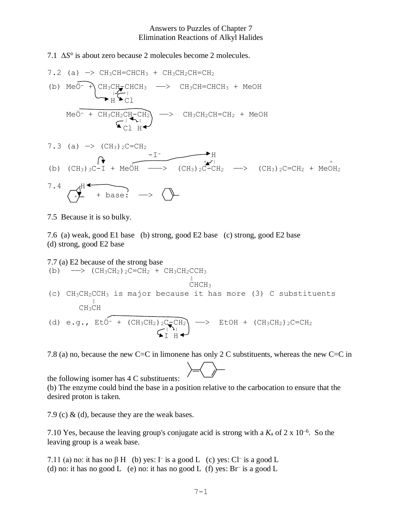## Answers to Puzzles of Chapter 7 Elimination Reactions of Alkyl Halides

## 7.1 Δ*S*° is about zero because 2 molecules become 2 molecules.

7.2 (a) 
$$
\rightarrow
$$
 CH<sub>3</sub>CH=CHCH<sub>3</sub> + CH<sub>3</sub>CH<sub>2</sub>CH=CH<sub>2</sub>  
\n(b) Me<sup>3</sup> + CH<sub>3</sub>CH<sub>2</sub>CHCH<sub>3</sub>  $\rightarrow$  CH<sub>3</sub>CH=CHCH<sub>3</sub> + MeOH  
\n $\uparrow$  H<sup>2</sup>Cl  
\nMeO<sup>-</sup> + CH<sub>3</sub>CH<sub>2</sub>CH<sub>-CH<sub>2</sub></sub>  
\n $\uparrow$  CH<sub>3</sub>CH<sub>2</sub>CH<sub>-CH<sub>2</sub></sub> $\rightarrow$  CH<sub>3</sub>CH<sub>2</sub>CH=CH<sub>2</sub> + MeOH  
\n $\uparrow$  CH<sub>3</sub>CH<sub>2</sub>CH<sub>-CH<sub>2</sub></sub>  
\n7.3 (a)  $\rightarrow$  (CH<sub>3</sub>)<sub>2</sub>C=CH<sub>2</sub>  
\n $\uparrow$  H  
\n(b) (CH<sub>3</sub>)<sub>3</sub>C-I + MeOH  $\rightarrow$  (CH<sub>3</sub>)<sub>2</sub>C-CH<sub>2</sub>  $\rightarrow$  (CH<sub>3</sub>)<sub>2</sub>C=CH<sub>2</sub> + MeOH<sub>2</sub>  
\n7.4  $\uparrow$  H  
\n $\uparrow$  H  
\n $\uparrow$  H  
\n $\uparrow$  H  
\n $\uparrow$  H  
\n $\uparrow$  H  
\n $\uparrow$  H  
\n $\uparrow$  H  
\n $\uparrow$  H  
\n $\uparrow$  H  
\n $\uparrow$  H  
\n $\uparrow$  H  
\n $\uparrow$  H  
\n $\uparrow$  H  
\n $\uparrow$  H  
\n $\uparrow$  H  
\n $\uparrow$  H  
\n $\uparrow$  H  
\n $\uparrow$  H  
\n $\uparrow$  H  
\n $\uparrow$  H  
\n $\uparrow$  H  
\n $\uparrow$  H  
\n $\uparrow$  H  
\n $\uparrow$  H  
\n<

7.5 Because it is so bulky.

7.6 (a) weak, good E1 base (b) strong, good E2 base (c) strong, good E2 base (d) strong, good E2 base

7.7 (a) E2 because of the strong base  
\n(b) 
$$
\longrightarrow
$$
 (CH<sub>3</sub>CH<sub>2</sub>)<sub>2</sub>C=CH<sub>2</sub> + CH<sub>3</sub>CH<sub>2</sub>CCH<sub>3</sub>  
\n $\parallel$   
\nCHCH<sub>3</sub>  
\n(c) CH<sub>3</sub>CH<sub>2</sub>CCH<sub>3</sub> is major because it has more (3) C substituents  
\nCH<sub>3</sub>CH  
\n(d) e.g., Et $\overline{O}^-$  + (CH<sub>3</sub>CH<sub>2</sub>)<sub>2</sub>C<sub>7</sub>CH<sub>2</sub>  
\n $\sqrt{\frac{P_1}{I}}\parallel$  +  
\n $\parallel$ 

7.8 (a) no, because the new C=C in limonene has only 2 C substituents, whereas the new C=C in

the following isomer has 4 C substituents:

(b) The enzyme could bind the base in a position relative to the carbocation to ensure that the desired proton is taken.

7.9 (c) & (d), because they are the weak bases.

7.10 Yes, because the leaving group's conjugate acid is strong with a  $K_a$  of  $2 \times 10^{-6}$ . So the leaving group is a weak base.

7.11 (a) no: it has no  $\beta$  H (b) yes:  $\Gamma$  is a good L (c) yes: C $\Gamma$  is a good L (d) no: it has no good L (e) no: it has no good L (f) yes:  $Br^-$  is a good L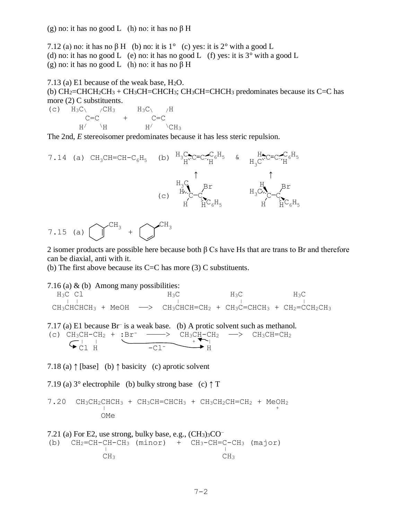7.12 (a) no: it has no  $\beta$  H (b) no: it is 1° (c) yes: it is 2° with a good L (d) no: it has no good L (e) no: it has no good L (f) yes: it is  $3^\circ$  with a good L (g) no: it has no good L (h) no: it has no  $\beta$  H

7.13 (a) E1 because of the weak base, H2O. (b)  $CH_2=CHCH_2CH_3 + CH_3CH=CHCH_3$ ;  $CH_3CH=CHCH_3$  predominates because its C=C has more (2) C substituents.

(c)  $H_3C\$  /CH<sub>3</sub>  $H_3C\$  /H  $C=C$  +  $C=C$  $H/$   $\backslash$ H  $H/$   $\backslash$ CH<sub>3</sub>

The 2nd, *E* stereoisomer predominates because it has less steric repulsion.



7.15 (a) 
$$
\bigcup^{CH_3} + \bigcup^{CH_3}
$$

2 isomer products are possible here because both β Cs have Hs that are trans to Br and therefore can be diaxial, anti with it.

(b) The first above because its C=C has more  $(3)$  C substituents.

7.16 (a)  $\&$  (b) Among many possibilities:  $H_3C$  Cl  $H_3C$   $H_3C$   $H_3C$  $\frac{1130}{1130}$  $CH_3CHCHCH_3$  + MeOH  $\longrightarrow$  CH<sub>3</sub>CHCH=CH<sub>2</sub> + CH<sub>3</sub>C=CHCH<sub>3</sub> + CH<sub>2</sub>=CCH<sub>2</sub>CH<sub>3</sub> 7.17 (a) E1 because Br– is a weak base. (b) A protic solvent such as methanol. (c)  $CH_3CH-CH_2 + :Br^-$  -->  $CH_3CH-CH_2$  ->  $CH_3CH=CH_2$  $\bigcap_{\text{max}}$  | |  $\bigcup_{\text{max}}$  | |  $\bigcup_{\text{max}}$  | |  $\bigcup_{\text{max}}$  | |  $\bigcup$  $\leftrightarrow$  Cl H  $\rightarrow$  -Cl<sup>-</sup>  $\rightarrow$  H

7.18 (a)  $\uparrow$  [base] (b)  $\uparrow$  basicity (c) aprotic solvent

7.19 (a)  $3^{\circ}$  electrophile (b) bulky strong base (c)  $\uparrow$  T

 $7.20$  CH<sub>3</sub>CH<sub>2</sub>CHCH<sub>3</sub> + CH<sub>3</sub>CH=CHCH<sub>3</sub> + CH<sub>3</sub>CH<sub>2</sub>CH=CH<sub>2</sub> + Me<sub>+</sub><sup>+</sup> OMe

7.21 (a) For E2, use strong, bulky base, e.g.,  $(CH_3)_3CO^-$ (b)  $CH_2=CH-CH-CH_3$  (minor) +  $CH_3-CH=C-CH_3$  (major) CH<sub>3</sub> CH<sub>3</sub>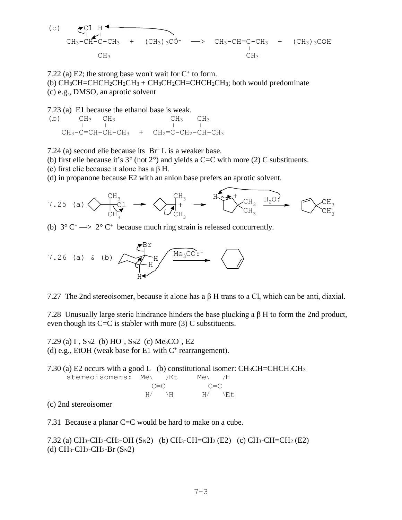(c)

\n
$$
\underbrace{C1}_{|C} \underbrace{H}_{C} \underbrace{C1}_{|C} \underbrace{H}_{C} \underbrace{C1}_{|C} \underbrace{H}_{C} \underbrace{C1}_{|C} \underbrace{H}_{|C} \underbrace{C1}_{|C} \underbrace{C1}_{|C} \underbrace{C1}_{|C} \underbrace{C1}_{|C} \underbrace{C1}_{|C} \underbrace{C1}_{|C} \underbrace{C1}_{|C} \underbrace{C1}_{|C} \underbrace{C1}_{|C} \underbrace{C1}_{|C} \underbrace{C1}_{|C} \underbrace{C1}_{|C} \underbrace{C1}_{|C} \underbrace{C1}_{|C} \underbrace{C1}_{|C} \underbrace{C1}_{|C} \underbrace{C1}_{|C} \underbrace{C1}_{|C} \underbrace{C1}_{|C} \underbrace{C1}_{|C} \underbrace{C1}_{|C} \underbrace{C1}_{|C} \underbrace{C1}_{|C} \underbrace{C1}_{|C} \underbrace{C1}_{|C} \underbrace{C1}_{|C} \underbrace{C1}_{|C} \underbrace{C1}_{|C} \underbrace{C1}_{|C} \underbrace{C1}_{|C} \underbrace{C1}_{|C} \underbrace{C1}_{|C} \underbrace{C1}_{|C} \underbrace{C1}_{|C} \underbrace{C1}_{|C} \underbrace{C1}_{|C} \underbrace{C1}_{|C} \underbrace{C1}_{|C} \underbrace{C1}_{|C} \underbrace{C1}_{|C} \underbrace{C1}_{|C} \underbrace{C1}_{|C} \underbrace{C1}_{|C} \underbrace{C1}_{|C} \underbrace{C1}_{|C} \underbrace{C1}_{|C} \underbrace{C1}_{|C} \underbrace{C1}_{|C} \underbrace{C1}_{|C} \underbrace{C1}_{|C} \underbrace{C1}_{|C} \underbrace{C1}_{|C} \underbrace{C1}_{|C} \underbrace{C1}_{|C} \underbrace{C1}_{|C} \underbrace{C1}_{|C} \underbrace{C1}_{|C} \underbrace{C1}_{|C} \underbrace{C1}_{|C} \underbrace{C1}_{|C} \underbrace{C1}_{|C} \underbrace{C1}_{|C} \underbrace{C1}_{|C} \underbrace{C1}_{|C} \underbrace{C1}_{|C} \underbrace{C1}_{|C} \underbrace{C1}_{|C} \underbrace{C1}_{|C}
$$

7.22 (a) E2; the strong base won't wait for  $C^+$  to form.

(b)  $CH_3CH=CHCH_2CH_3 + CH_3CH_2CH=CHCH_2CH_3$ ; both would predominate (c) e.g., DMSO, an aprotic solvent

7.23 (a) E1 because the ethanol base is weak.

- (b)  $CH_3$   $CH_3$  CH<sub>3</sub> CH<sub>3</sub> CH<sub>3</sub>  $CH_3-C=CH-CH-CH_3$  +  $CH_2=C-CH_2-CH-CH_3$
- 7.24 (a) second elie because its Br– L is a weaker base.
- (b) first elie because it's  $3^{\circ}$  (not  $2^{\circ}$ ) and yields a C=C with more (2) C substituents.
- (c) first elie because it alone has a  $\beta$  H.
- (d) in propanone because E2 with an anion base prefers an aprotic solvent.



(b)  $3^{\circ}$  C<sup>+</sup>  $\rightarrow$  2° C<sup>+</sup> because much ring strain is released concurrently.



7.27 The 2nd stereoisomer, because it alone has a β H trans to a Cl, which can be anti, diaxial.

7.28 Unusually large steric hindrance hinders the base plucking a β H to form the 2nd product, even though its  $C=C$  is stabler with more (3) C substituents.

7.29 (a)  $\Gamma$ , S<sub>N</sub>2 (b) HO<sup>-</sup>, S<sub>N</sub>2 (c) Me<sub>3</sub>CO<sup>-</sup>, E<sub>2</sub> (d) e.g., EtOH (weak base for E1 with  $C^+$  rearrangement).

7.30 (a) E2 occurs with a good L (b) constitutional isomer: CH3CH=CHCH2CH<sup>3</sup> stereoisomers: Me<sub>\</sub> /Et Me<sub>\</sub> /H  $C=C$   $C=C$  $H/$   $\lambda$ H  $H/$   $\lambda$ Et

(c) 2nd stereoisomer

7.31 Because a planar C=C would be hard to make on a cube.

7.32 (a)  $CH_3-CH_2-CH_2-OH(S_N2)$  (b)  $CH_3-CH=CH_2 (E2)$  (c)  $CH_3-CH=CH_2 (E2)$ (d)  $CH_3$ -CH<sub>2</sub>-CH<sub>2</sub>-Br (S<sub>N</sub>2)